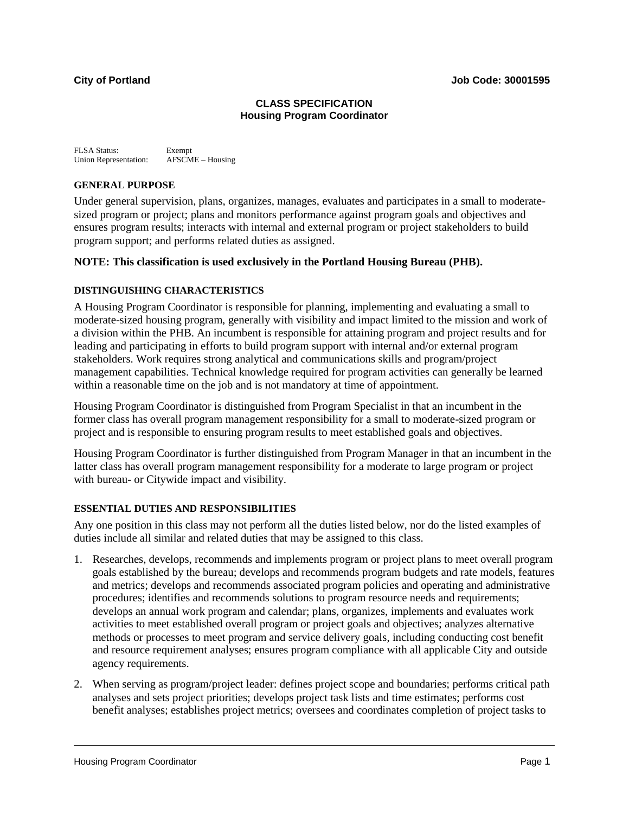# **CLASS SPECIFICATION Housing Program Coordinator**

FLSA Status: Exempt Union Representation: AFSCME – Housing

### **GENERAL PURPOSE**

Under general supervision, plans, organizes, manages, evaluates and participates in a small to moderatesized program or project; plans and monitors performance against program goals and objectives and ensures program results; interacts with internal and external program or project stakeholders to build program support; and performs related duties as assigned.

# **NOTE: This classification is used exclusively in the Portland Housing Bureau (PHB).**

# **DISTINGUISHING CHARACTERISTICS**

A Housing Program Coordinator is responsible for planning, implementing and evaluating a small to moderate-sized housing program, generally with visibility and impact limited to the mission and work of a division within the PHB. An incumbent is responsible for attaining program and project results and for leading and participating in efforts to build program support with internal and/or external program stakeholders. Work requires strong analytical and communications skills and program/project management capabilities. Technical knowledge required for program activities can generally be learned within a reasonable time on the job and is not mandatory at time of appointment.

Housing Program Coordinator is distinguished from Program Specialist in that an incumbent in the former class has overall program management responsibility for a small to moderate-sized program or project and is responsible to ensuring program results to meet established goals and objectives.

Housing Program Coordinator is further distinguished from Program Manager in that an incumbent in the latter class has overall program management responsibility for a moderate to large program or project with bureau- or Citywide impact and visibility.

# **ESSENTIAL DUTIES AND RESPONSIBILITIES**

Any one position in this class may not perform all the duties listed below, nor do the listed examples of duties include all similar and related duties that may be assigned to this class.

- 1. Researches, develops, recommends and implements program or project plans to meet overall program goals established by the bureau; develops and recommends program budgets and rate models, features and metrics; develops and recommends associated program policies and operating and administrative procedures; identifies and recommends solutions to program resource needs and requirements; develops an annual work program and calendar; plans, organizes, implements and evaluates work activities to meet established overall program or project goals and objectives; analyzes alternative methods or processes to meet program and service delivery goals, including conducting cost benefit and resource requirement analyses; ensures program compliance with all applicable City and outside agency requirements.
- 2. When serving as program/project leader: defines project scope and boundaries; performs critical path analyses and sets project priorities; develops project task lists and time estimates; performs cost benefit analyses; establishes project metrics; oversees and coordinates completion of project tasks to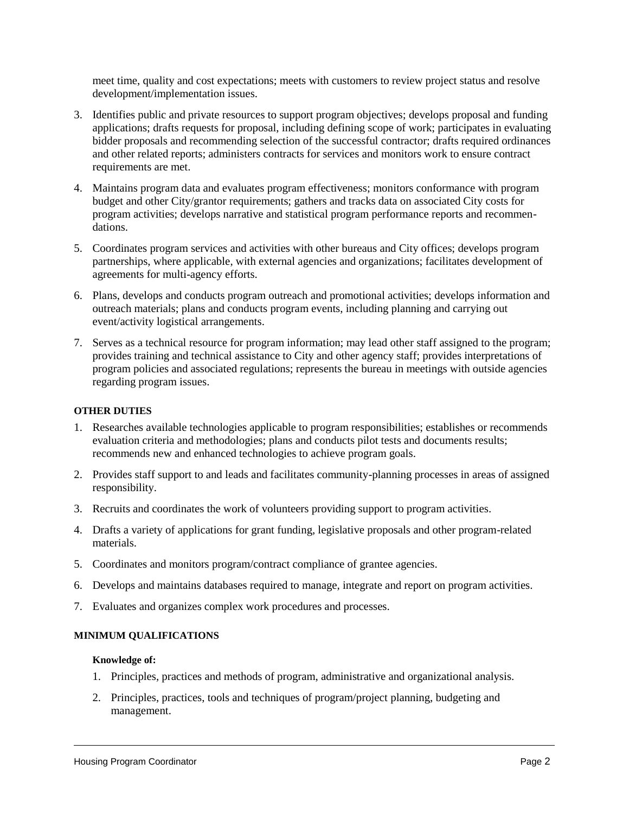meet time, quality and cost expectations; meets with customers to review project status and resolve development/implementation issues.

- 3. Identifies public and private resources to support program objectives; develops proposal and funding applications; drafts requests for proposal, including defining scope of work; participates in evaluating bidder proposals and recommending selection of the successful contractor; drafts required ordinances and other related reports; administers contracts for services and monitors work to ensure contract requirements are met.
- 4. Maintains program data and evaluates program effectiveness; monitors conformance with program budget and other City/grantor requirements; gathers and tracks data on associated City costs for program activities; develops narrative and statistical program performance reports and recommendations.
- 5. Coordinates program services and activities with other bureaus and City offices; develops program partnerships, where applicable, with external agencies and organizations; facilitates development of agreements for multi-agency efforts.
- 6. Plans, develops and conducts program outreach and promotional activities; develops information and outreach materials; plans and conducts program events, including planning and carrying out event/activity logistical arrangements.
- 7. Serves as a technical resource for program information; may lead other staff assigned to the program; provides training and technical assistance to City and other agency staff; provides interpretations of program policies and associated regulations; represents the bureau in meetings with outside agencies regarding program issues.

### **OTHER DUTIES**

- 1. Researches available technologies applicable to program responsibilities; establishes or recommends evaluation criteria and methodologies; plans and conducts pilot tests and documents results; recommends new and enhanced technologies to achieve program goals.
- 2. Provides staff support to and leads and facilitates community-planning processes in areas of assigned responsibility.
- 3. Recruits and coordinates the work of volunteers providing support to program activities.
- 4. Drafts a variety of applications for grant funding, legislative proposals and other program-related materials.
- 5. Coordinates and monitors program/contract compliance of grantee agencies.
- 6. Develops and maintains databases required to manage, integrate and report on program activities.
- 7. Evaluates and organizes complex work procedures and processes.

#### **MINIMUM QUALIFICATIONS**

#### **Knowledge of:**

- 1. Principles, practices and methods of program, administrative and organizational analysis.
- 2. Principles, practices, tools and techniques of program/project planning, budgeting and management.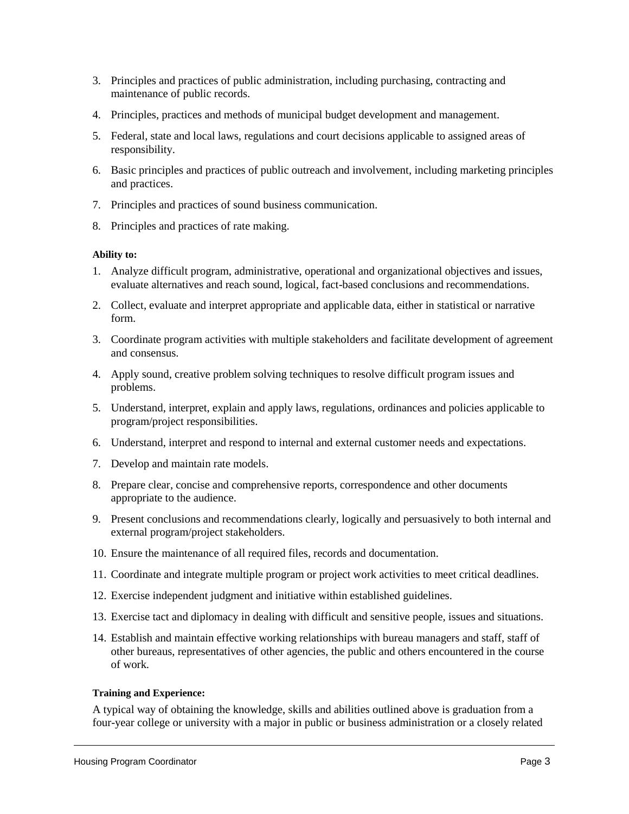- 3. Principles and practices of public administration, including purchasing, contracting and maintenance of public records.
- 4. Principles, practices and methods of municipal budget development and management.
- 5. Federal, state and local laws, regulations and court decisions applicable to assigned areas of responsibility.
- 6. Basic principles and practices of public outreach and involvement, including marketing principles and practices.
- 7. Principles and practices of sound business communication.
- 8. Principles and practices of rate making.

# **Ability to:**

- 1. Analyze difficult program, administrative, operational and organizational objectives and issues, evaluate alternatives and reach sound, logical, fact-based conclusions and recommendations.
- 2. Collect, evaluate and interpret appropriate and applicable data, either in statistical or narrative form.
- 3. Coordinate program activities with multiple stakeholders and facilitate development of agreement and consensus.
- 4. Apply sound, creative problem solving techniques to resolve difficult program issues and problems.
- 5. Understand, interpret, explain and apply laws, regulations, ordinances and policies applicable to program/project responsibilities.
- 6. Understand, interpret and respond to internal and external customer needs and expectations.
- 7. Develop and maintain rate models.
- 8. Prepare clear, concise and comprehensive reports, correspondence and other documents appropriate to the audience.
- 9. Present conclusions and recommendations clearly, logically and persuasively to both internal and external program/project stakeholders.
- 10. Ensure the maintenance of all required files, records and documentation.
- 11. Coordinate and integrate multiple program or project work activities to meet critical deadlines.
- 12. Exercise independent judgment and initiative within established guidelines.
- 13. Exercise tact and diplomacy in dealing with difficult and sensitive people, issues and situations.
- 14. Establish and maintain effective working relationships with bureau managers and staff, staff of other bureaus, representatives of other agencies, the public and others encountered in the course of work.

# **Training and Experience:**

A typical way of obtaining the knowledge, skills and abilities outlined above is graduation from a four-year college or university with a major in public or business administration or a closely related